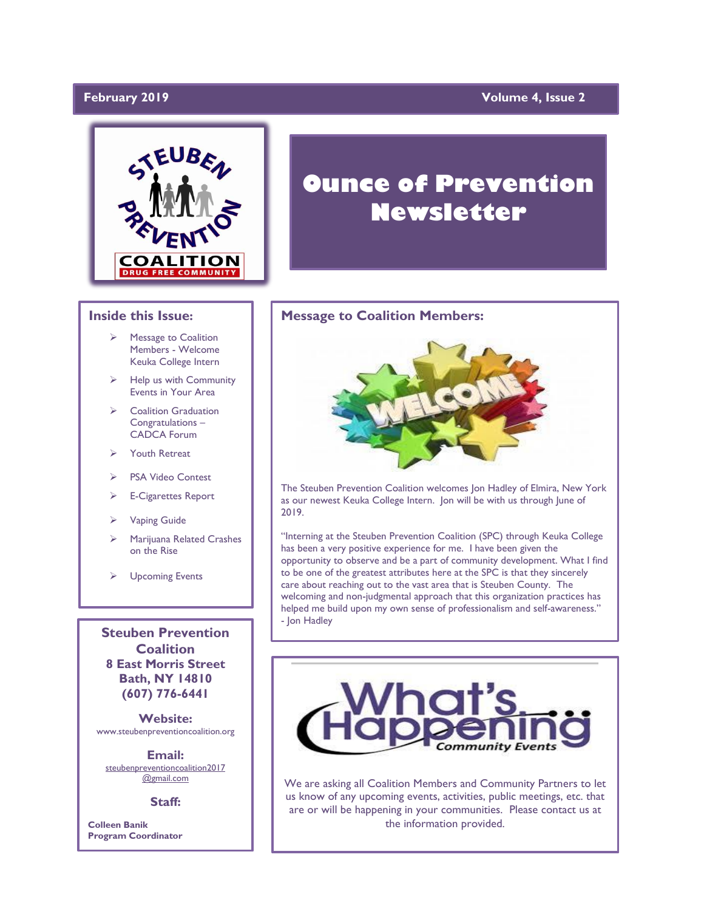# February 2019

# **Yolume 4, Issue 2**



# **Ounce of Prevention Newsletter**

### **Message to Coalition Members:**



The Steuben Prevention Coalition welcomes Jon Hadley of Elmira, New York as our newest Keuka College Intern. Jon will be with us through June of 2019.

"Interning at the Steuben Prevention Coalition (SPC) through Keuka College has been a very positive experience for me. I have been given the opportunity to observe and be a part of community development. What I find to be one of the greatest attributes here at the SPC is that they sincerely care about reaching out to the vast area that is Steuben County. The welcoming and non-judgmental approach that this organization practices has helped me build upon my own sense of professionalism and self-awareness." - Jon Hadley



We are asking all Coalition Members and Community Partners to let us know of any upcoming events, activities, public meetings, etc. that are or will be happening in your communities. Please contact us at the information provided.

#### **Inside this Issue:**

- ➢ Message to Coalition Members - Welcome Keuka College Intern
- ➢ Help us with Community Events in Your Area
- ➢ Coalition Graduation Congratulations – CADCA Forum
- **Youth Retreat**
- PSA Video Contest
- ➢ E-Cigarettes Report
- ➢ Vaping Guide
- ➢ Marijuana Related Crashes on the Rise
- ➢ Upcoming Events

**Steuben Prevention Coalition 8 East Morris Street Bath, NY 14810 (607) 776-6441**

**Website:**  www.steubenpreventioncoalition.org

**Email:**  steubenpreventioncoalition2017 @gmail.com

**Staff:**

**Colleen Banik Program Coordinator**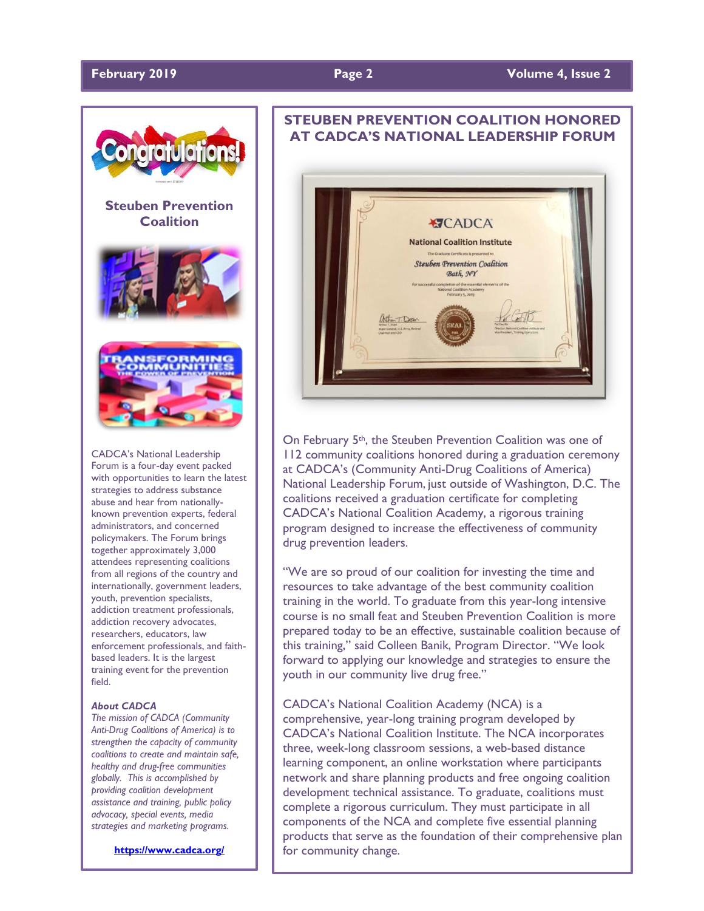

### **February 2019 Page 2 Volume 4, Issue 2**



CADCA's National Leadership Forum is a four-day event packed with opportunities to learn the latest strategies to address substance abuse and hear from nationallyknown prevention experts, federal administrators, and concerned policymakers. The Forum brings together approximately 3,000 attendees representing coalitions from all regions of the country and internationally, government leaders, youth, prevention specialists, addiction treatment professionals, addiction recovery advocates, researchers, educators, law enforcement professionals, and faithbased leaders. It is the largest training event for the prevention field.

#### *About CADCA*

*The mission of CADCA (Community Anti-Drug Coalitions of America) is to strengthen the capacity of community coalitions to create and maintain safe, healthy and drug-free communities globally. This is accomplished by providing coalition development assistance and training, public policy advocacy, special events, media strategies and marketing programs.*

**<https://www.cadca.org/>**

# **STEUBEN PREVENTION COALITION HONORED AT CADCA'S NATIONAL LEADERSHIP FORUM**



On February 5th, the Steuben Prevention Coalition was one of 112 community coalitions honored during a graduation ceremony at CADCA's (Community Anti-Drug Coalitions of America) National Leadership Forum, just outside of Washington, D.C. The coalitions received a graduation certificate for completing CADCA's National Coalition Academy, a rigorous training program designed to increase the effectiveness of community drug prevention leaders.

"We are so proud of our coalition for investing the time and resources to take advantage of the best community coalition training in the world. To graduate from this year-long intensive course is no small feat and Steuben Prevention Coalition is more prepared today to be an effective, sustainable coalition because of this training," said Colleen Banik, Program Director. "We look forward to applying our knowledge and strategies to ensure the youth in our community live drug free."

#### CADCA's National Coalition Academy (NCA) is a

comprehensive, year-long training program developed by CADCA's National Coalition Institute. The NCA incorporates three, week-long classroom sessions, a web-based distance learning component, an online workstation where participants network and share planning products and free ongoing coalition development technical assistance. To graduate, coalitions must complete a rigorous curriculum. They must participate in all components of the NCA and complete five essential planning products that serve as the foundation of their comprehensive plan for community change.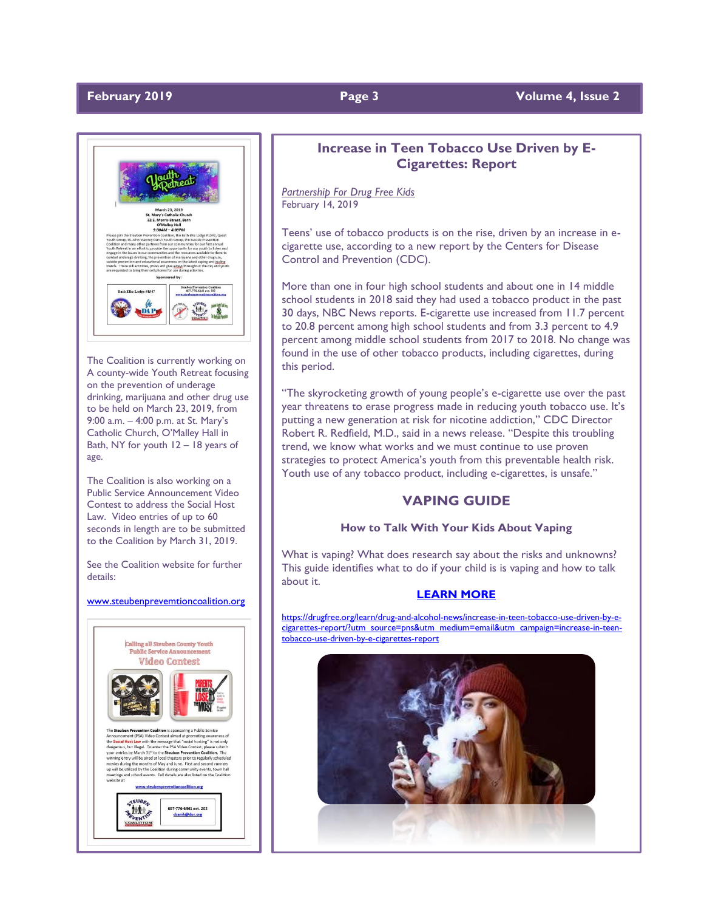

The Coalition is currently working on A county-wide Youth Retreat focusing on the prevention of underage drinking, marijuana and other drug use to be held on March 23, 2019, from 9:00 a.m. – 4:00 p.m. at St. Mary's Catholic Church, O'Malley Hall in Bath, NY for youth 12 – 18 years of age.

The Coalition is also working on a Public Service Announcement Video Contest to address the Social Host Law. Video entries of up to 60 seconds in length are to be submitted to the Coalition by March 31, 2019.

See the Coalition website for further details:

#### [www.steubenprevemtioncoalition.org](http://www.steubenprevemtioncoalition.org/)



# **Increase in Teen Tobacco Use Driven by E-Cigarettes: Report**

*Partnership For Drug Free Kids* February 14, 2019

Teens' use of tobacco products is on the rise, driven by an increase in ecigarette use, according to a new report by the Centers for Disease Control and Prevention (CDC).

More than one in four high school students and about one in 14 middle school students in 2018 said they had used a tobacco product in the past 30 days, NBC News reports. E-cigarette use increased from 11.7 percent to 20.8 percent among high school students and from 3.3 percent to 4.9 percent among middle school students from 2017 to 2018. No change was found in the use of other tobacco products, including cigarettes, during this period.

"The skyrocketing growth of young people's e-cigarette use over the past year threatens to erase progress made in reducing youth tobacco use. It's putting a new generation at risk for nicotine addiction," CDC Director Robert R. Redfield, M.D., said in a news release. "Despite this troubling trend, we know what works and we must continue to use proven strategies to protect America's youth from this preventable health risk. Youth use of any tobacco product, including e-cigarettes, is unsafe."

# **VAPING GUIDE**

### **How to Talk With Your Kids About Vaping**

What is vaping? What does research say about the risks and unknowns? This guide identifies what to do if your child is is vaping and how to talk about it.

#### **[LEARN MORE](https://drugfree.org/parent-blog/how-to-talk-with-your-kids-about-vaping-guide/)**

[https://drugfree.org/learn/drug-and-alcohol-news/increase-in-teen-tobacco-use-driven-by-e](https://drugfree.org/learn/drug-and-alcohol-news/increase-in-teen-tobacco-use-driven-by-e-cigarettes-report/?utm_source=pns&utm_medium=email&utm_campaign=increase-in-teen-tobacco-use-driven-by-e-cigarettes-report)[cigarettes-report/?utm\\_source=pns&utm\\_medium=email&utm\\_campaign=increase-in-teen](https://drugfree.org/learn/drug-and-alcohol-news/increase-in-teen-tobacco-use-driven-by-e-cigarettes-report/?utm_source=pns&utm_medium=email&utm_campaign=increase-in-teen-tobacco-use-driven-by-e-cigarettes-report)[tobacco-use-driven-by-e-cigarettes-report](https://drugfree.org/learn/drug-and-alcohol-news/increase-in-teen-tobacco-use-driven-by-e-cigarettes-report/?utm_source=pns&utm_medium=email&utm_campaign=increase-in-teen-tobacco-use-driven-by-e-cigarettes-report)



# **February 2019 Page 3 Volume 4, Issue 2**